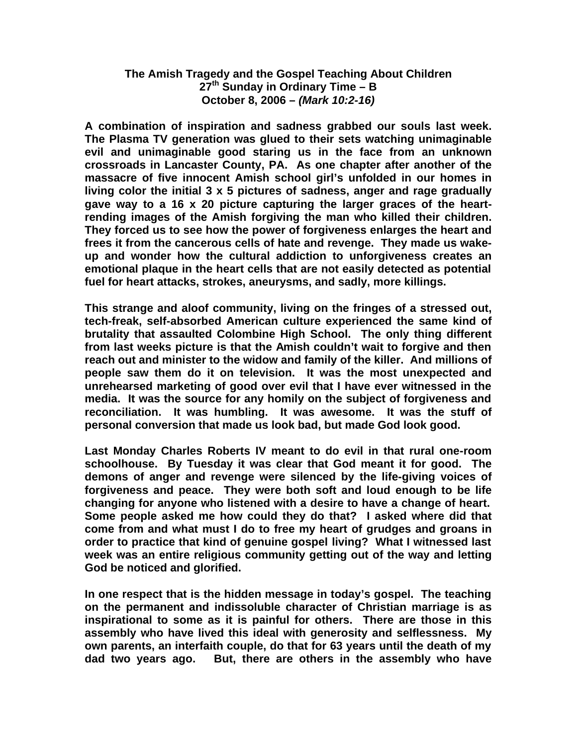## **The Amish Tragedy and the Gospel Teaching About Children 27th Sunday in Ordinary Time – B October 8, 2006 –** *(Mark 10:2-16)*

**A combination of inspiration and sadness grabbed our souls last week. The Plasma TV generation was glued to their sets watching unimaginable evil and unimaginable good staring us in the face from an unknown crossroads in Lancaster County, PA. As one chapter after another of the massacre of five innocent Amish school girl's unfolded in our homes in living color the initial 3 x 5 pictures of sadness, anger and rage gradually gave way to a 16 x 20 picture capturing the larger graces of the heartrending images of the Amish forgiving the man who killed their children. They forced us to see how the power of forgiveness enlarges the heart and frees it from the cancerous cells of hate and revenge. They made us wakeup and wonder how the cultural addiction to unforgiveness creates an emotional plaque in the heart cells that are not easily detected as potential fuel for heart attacks, strokes, aneurysms, and sadly, more killings.**

**This strange and aloof community, living on the fringes of a stressed out, tech-freak, self-absorbed American culture experienced the same kind of brutality that assaulted Colombine High School. The only thing different from last weeks picture is that the Amish couldn't wait to forgive and then reach out and minister to the widow and family of the killer. And millions of people saw them do it on television. It was the most unexpected and unrehearsed marketing of good over evil that I have ever witnessed in the media. It was the source for any homily on the subject of forgiveness and reconciliation. It was humbling. It was awesome. It was the stuff of personal conversion that made us look bad, but made God look good.** 

**Last Monday Charles Roberts IV meant to do evil in that rural one-room schoolhouse. By Tuesday it was clear that God meant it for good. The demons of anger and revenge were silenced by the life-giving voices of forgiveness and peace. They were both soft and loud enough to be life changing for anyone who listened with a desire to have a change of heart. Some people asked me how could they do that? I asked where did that come from and what must I do to free my heart of grudges and groans in order to practice that kind of genuine gospel living? What I witnessed last week was an entire religious community getting out of the way and letting God be noticed and glorified.** 

**In one respect that is the hidden message in today's gospel. The teaching on the permanent and indissoluble character of Christian marriage is as inspirational to some as it is painful for others. There are those in this assembly who have lived this ideal with generosity and selflessness. My own parents, an interfaith couple, do that for 63 years until the death of my dad two years ago. But, there are others in the assembly who have**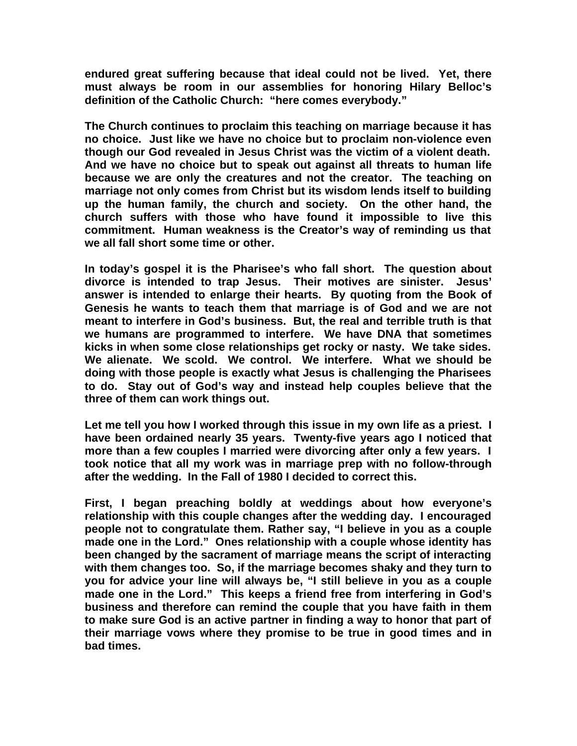**endured great suffering because that ideal could not be lived. Yet, there must always be room in our assemblies for honoring Hilary Belloc's definition of the Catholic Church: "here comes everybody."** 

**The Church continues to proclaim this teaching on marriage because it has no choice. Just like we have no choice but to proclaim non-violence even though our God revealed in Jesus Christ was the victim of a violent death. And we have no choice but to speak out against all threats to human life because we are only the creatures and not the creator. The teaching on marriage not only comes from Christ but its wisdom lends itself to building up the human family, the church and society. On the other hand, the church suffers with those who have found it impossible to live this commitment. Human weakness is the Creator's way of reminding us that we all fall short some time or other.** 

**In today's gospel it is the Pharisee's who fall short. The question about divorce is intended to trap Jesus. Their motives are sinister. Jesus' answer is intended to enlarge their hearts. By quoting from the Book of Genesis he wants to teach them that marriage is of God and we are not meant to interfere in God's business. But, the real and terrible truth is that we humans are programmed to interfere. We have DNA that sometimes kicks in when some close relationships get rocky or nasty. We take sides. We alienate. We scold. We control. We interfere. What we should be doing with those people is exactly what Jesus is challenging the Pharisees to do. Stay out of God's way and instead help couples believe that the three of them can work things out.** 

**Let me tell you how I worked through this issue in my own life as a priest. I have been ordained nearly 35 years. Twenty-five years ago I noticed that more than a few couples I married were divorcing after only a few years. I took notice that all my work was in marriage prep with no follow-through after the wedding. In the Fall of 1980 I decided to correct this.** 

**First, I began preaching boldly at weddings about how everyone's relationship with this couple changes after the wedding day. I encouraged people not to congratulate them. Rather say, "I believe in you as a couple made one in the Lord." Ones relationship with a couple whose identity has been changed by the sacrament of marriage means the script of interacting with them changes too. So, if the marriage becomes shaky and they turn to you for advice your line will always be, "I still believe in you as a couple made one in the Lord." This keeps a friend free from interfering in God's business and therefore can remind the couple that you have faith in them to make sure God is an active partner in finding a way to honor that part of their marriage vows where they promise to be true in good times and in bad times.**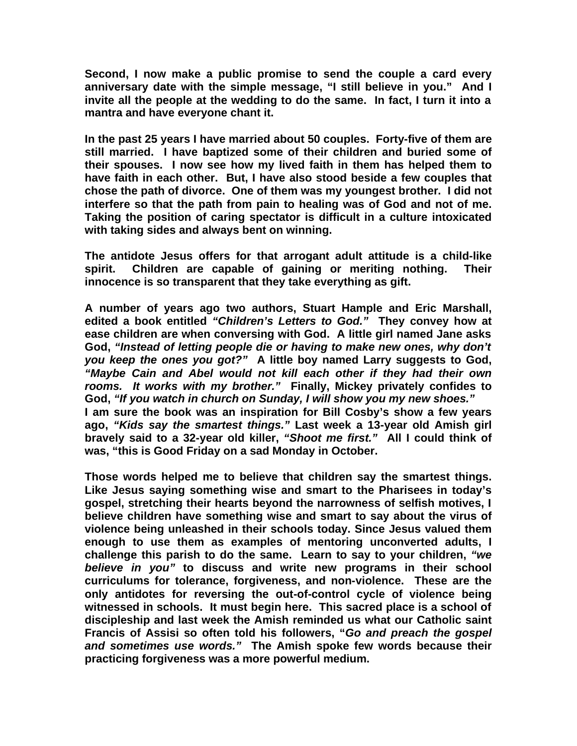**Second, I now make a public promise to send the couple a card every anniversary date with the simple message, "I still believe in you." And I invite all the people at the wedding to do the same. In fact, I turn it into a mantra and have everyone chant it.** 

**In the past 25 years I have married about 50 couples. Forty-five of them are still married. I have baptized some of their children and buried some of their spouses. I now see how my lived faith in them has helped them to have faith in each other. But, I have also stood beside a few couples that chose the path of divorce. One of them was my youngest brother. I did not interfere so that the path from pain to healing was of God and not of me. Taking the position of caring spectator is difficult in a culture intoxicated with taking sides and always bent on winning.**

**The antidote Jesus offers for that arrogant adult attitude is a child-like spirit. Children are capable of gaining or meriting nothing. Their innocence is so transparent that they take everything as gift.**

**A number of years ago two authors, Stuart Hample and Eric Marshall, edited a book entitled** *"Children's Letters to God."* **They convey how at ease children are when conversing with God. A little girl named Jane asks God,** *"Instead of letting people die or having to make new ones, why don't you keep the ones you got?"* **A little boy named Larry suggests to God,** *"Maybe Cain and Abel would not kill each other if they had their own rooms. It works with my brother."* **Finally, Mickey privately confides to God,** *"If you watch in church on Sunday, I will show you my new shoes."*  **I am sure the book was an inspiration for Bill Cosby's show a few years ago,** *"Kids say the smartest things."* **Last week a 13-year old Amish girl bravely said to a 32-year old killer,** *"Shoot me first."* **All I could think of was, "this is Good Friday on a sad Monday in October.**

**Those words helped me to believe that children say the smartest things. Like Jesus saying something wise and smart to the Pharisees in today's gospel, stretching their hearts beyond the narrowness of selfish motives, I believe children have something wise and smart to say about the virus of violence being unleashed in their schools today. Since Jesus valued them enough to use them as examples of mentoring unconverted adults, I challenge this parish to do the same. Learn to say to your children,** *"we believe in you"* **to discuss and write new programs in their school curriculums for tolerance, forgiveness, and non-violence. These are the only antidotes for reversing the out-of-control cycle of violence being witnessed in schools. It must begin here. This sacred place is a school of discipleship and last week the Amish reminded us what our Catholic saint Francis of Assisi so often told his followers, "***Go and preach the gospel and sometimes use words."* **The Amish spoke few words because their practicing forgiveness was a more powerful medium.**